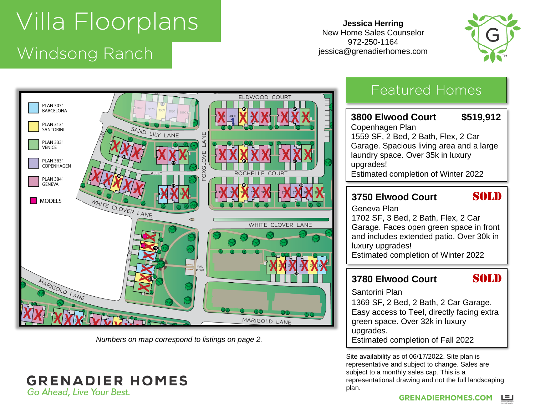# Windsong Panch Windsong Ranch

**Jessica Herring** New Home Sales Counselor 972-250-1164 jessica@grenadierhomes.com





*Numbers on map correspond to listings on page 2.*

#### **GRENADIER HOMES** Go Ahead, Live Your Best.

## Featured Homes

#### **3800 Elwood Court \$519,912** Copenhagen Plan 1559 SF, 2 Bed, 2 Bath, Flex, 2 Car Garage. Spacious living area and a large laundry space. Over 35k in luxury upgrades! Estimated completion of Winter 2022

#### **3750 Elwood Court SOLD**

Geneva Plan 1702 SF, 3 Bed, 2 Bath, Flex, 2 Car Garage. Faces open green space in front and includes extended patio. Over 30k in luxury upgrades! Estimated completion of Winter 2022

### **3780 Elwood Court SOLD**

Santorini Plan

1369 SF, 2 Bed, 2 Bath, 2 Car Garage. Easy access to Teel, directly facing extra green space. Over 32k in luxury upgrades. Estimated completion of Fall 2022

Site availability as of 06/17/2022. Site plan is representative and subject to change. Sales are subject to a monthly sales cap. This is a representational drawing and not the full landscaping plan.